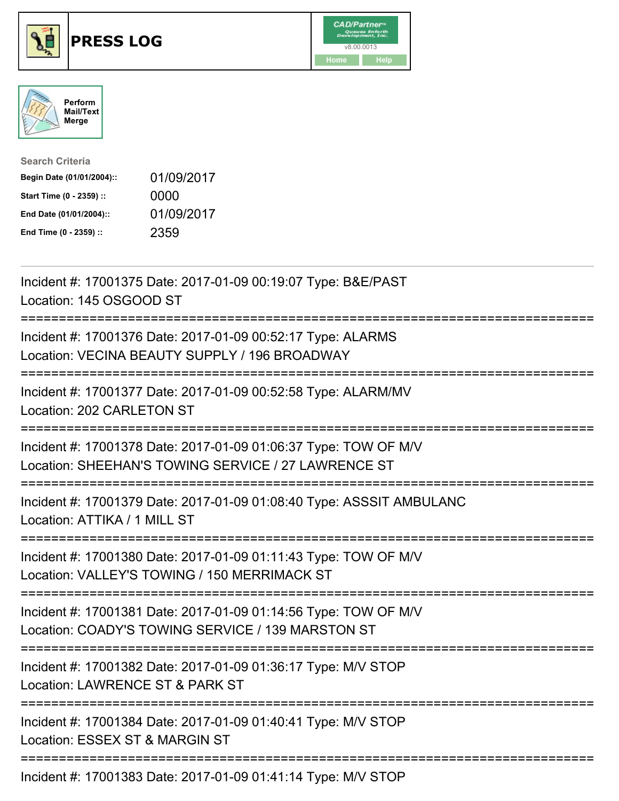

## **PRESS LOG** v8.00.0013





| <b>Search Criteria</b>    |            |
|---------------------------|------------|
| Begin Date (01/01/2004):: | 01/09/2017 |
| Start Time (0 - 2359) ::  | 0000       |
| End Date (01/01/2004)::   | 01/09/2017 |
| End Time (0 - 2359) ::    | 2359       |

Incident #: 17001375 Date: 2017-01-09 00:19:07 Type: B&E/PAST Location: 145 OSGOOD ST =========================================================================== Incident #: 17001376 Date: 2017-01-09 00:52:17 Type: ALARMS Location: VECINA BEAUTY SUPPLY / 196 BROADWAY =========================================================================== Incident #: 17001377 Date: 2017-01-09 00:52:58 Type: ALARM/MV Location: 202 CARLETON ST =========================================================================== Incident #: 17001378 Date: 2017-01-09 01:06:37 Type: TOW OF M/V Location: SHEEHAN'S TOWING SERVICE / 27 LAWRENCE ST =========================================================================== Incident #: 17001379 Date: 2017-01-09 01:08:40 Type: ASSSIT AMBULANC Location: ATTIKA / 1 MILL ST ========================== Incident #: 17001380 Date: 2017-01-09 01:11:43 Type: TOW OF M/V Location: VALLEY'S TOWING / 150 MERRIMACK ST =========================================================================== Incident #: 17001381 Date: 2017-01-09 01:14:56 Type: TOW OF M/V Location: COADY'S TOWING SERVICE / 139 MARSTON ST =========================================================================== Incident #: 17001382 Date: 2017-01-09 01:36:17 Type: M/V STOP Location: LAWRENCE ST & PARK ST =========================================================================== Incident #: 17001384 Date: 2017-01-09 01:40:41 Type: M/V STOP Location: ESSEX ST & MARGIN ST =========================================================================== Incident #: 17001383 Date: 2017-01-09 01:41:14 Type: M/V STOP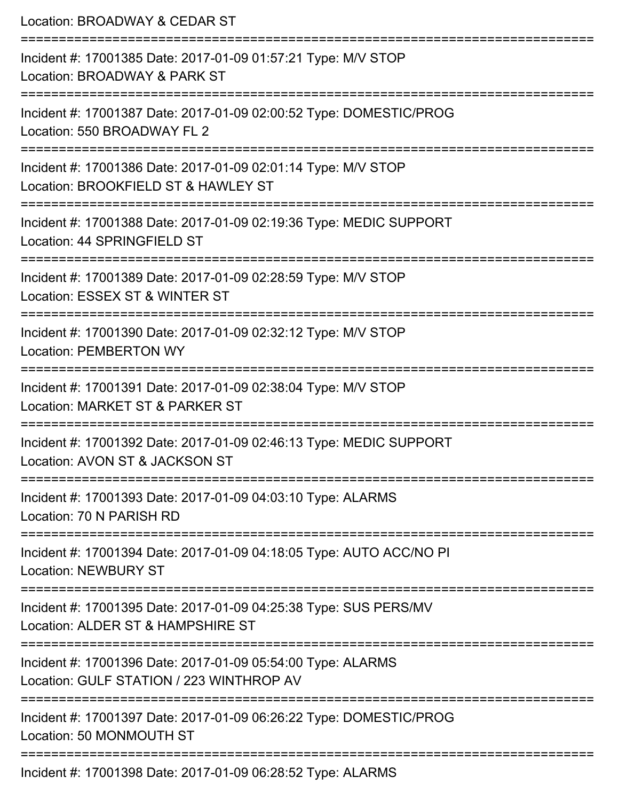| Location: BROADWAY & CEDAR ST                                                                                            |
|--------------------------------------------------------------------------------------------------------------------------|
| Incident #: 17001385 Date: 2017-01-09 01:57:21 Type: M/V STOP<br>Location: BROADWAY & PARK ST                            |
| Incident #: 17001387 Date: 2017-01-09 02:00:52 Type: DOMESTIC/PROG<br>Location: 550 BROADWAY FL 2                        |
| Incident #: 17001386 Date: 2017-01-09 02:01:14 Type: M/V STOP<br>Location: BROOKFIELD ST & HAWLEY ST                     |
| Incident #: 17001388 Date: 2017-01-09 02:19:36 Type: MEDIC SUPPORT<br>Location: 44 SPRINGFIELD ST                        |
| Incident #: 17001389 Date: 2017-01-09 02:28:59 Type: M/V STOP<br>Location: ESSEX ST & WINTER ST                          |
| ======================<br>Incident #: 17001390 Date: 2017-01-09 02:32:12 Type: M/V STOP<br><b>Location: PEMBERTON WY</b> |
| Incident #: 17001391 Date: 2017-01-09 02:38:04 Type: M/V STOP<br>Location: MARKET ST & PARKER ST                         |
| Incident #: 17001392 Date: 2017-01-09 02:46:13 Type: MEDIC SUPPORT<br>Location: AVON ST & JACKSON ST                     |
| Incident #: 17001393 Date: 2017-01-09 04:03:10 Type: ALARMS<br>Location: 70 N PARISH RD                                  |
| Incident #: 17001394 Date: 2017-01-09 04:18:05 Type: AUTO ACC/NO PI<br><b>Location: NEWBURY ST</b>                       |
| Incident #: 17001395 Date: 2017-01-09 04:25:38 Type: SUS PERS/MV<br>Location: ALDER ST & HAMPSHIRE ST                    |
| Incident #: 17001396 Date: 2017-01-09 05:54:00 Type: ALARMS<br>Location: GULF STATION / 223 WINTHROP AV                  |
| Incident #: 17001397 Date: 2017-01-09 06:26:22 Type: DOMESTIC/PROG<br>Location: 50 MONMOUTH ST                           |
| Incident #: 17001398 Date: 2017-01-09 06:28:52 Type: ALARMS                                                              |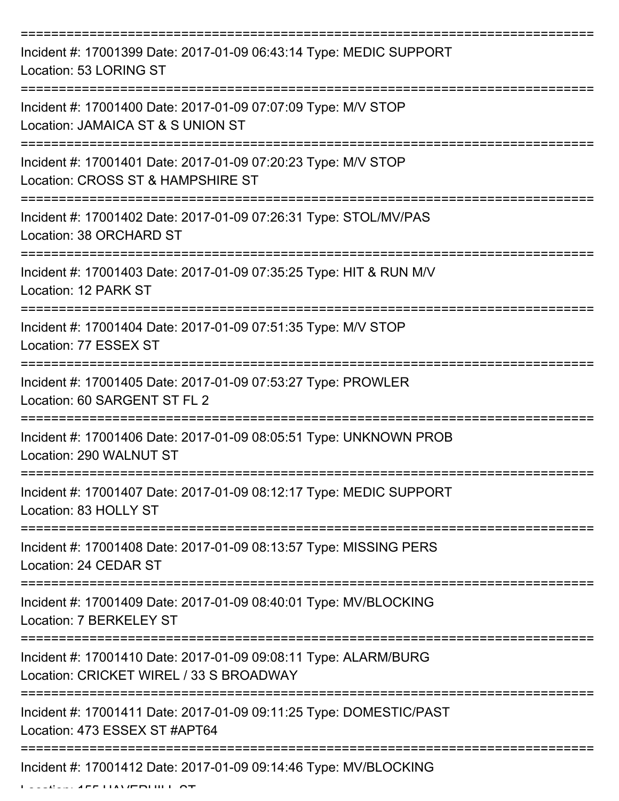| Incident #: 17001399 Date: 2017-01-09 06:43:14 Type: MEDIC SUPPORT<br>Location: 53 LORING ST               |
|------------------------------------------------------------------------------------------------------------|
| Incident #: 17001400 Date: 2017-01-09 07:07:09 Type: M/V STOP<br>Location: JAMAICA ST & S UNION ST         |
| Incident #: 17001401 Date: 2017-01-09 07:20:23 Type: M/V STOP<br>Location: CROSS ST & HAMPSHIRE ST         |
| Incident #: 17001402 Date: 2017-01-09 07:26:31 Type: STOL/MV/PAS<br>Location: 38 ORCHARD ST                |
| Incident #: 17001403 Date: 2017-01-09 07:35:25 Type: HIT & RUN M/V<br>Location: 12 PARK ST                 |
| Incident #: 17001404 Date: 2017-01-09 07:51:35 Type: M/V STOP<br>Location: 77 ESSEX ST                     |
| Incident #: 17001405 Date: 2017-01-09 07:53:27 Type: PROWLER<br>Location: 60 SARGENT ST FL 2               |
| Incident #: 17001406 Date: 2017-01-09 08:05:51 Type: UNKNOWN PROB<br>Location: 290 WALNUT ST               |
| Incident #: 17001407 Date: 2017-01-09 08:12:17 Type: MEDIC SUPPORT<br>Location: 83 HOLLY ST                |
| Incident #: 17001408 Date: 2017-01-09 08:13:57 Type: MISSING PERS<br>Location: 24 CEDAR ST                 |
| Incident #: 17001409 Date: 2017-01-09 08:40:01 Type: MV/BLOCKING<br>Location: 7 BERKELEY ST                |
| Incident #: 17001410 Date: 2017-01-09 09:08:11 Type: ALARM/BURG<br>Location: CRICKET WIREL / 33 S BROADWAY |
| Incident #: 17001411 Date: 2017-01-09 09:11:25 Type: DOMESTIC/PAST<br>Location: 473 ESSEX ST #APT64        |
| Incident #: 17001412 Date: 2017-01-09 09:14:46 Type: MV/BLOCKING                                           |

Location: 155 HAVERHILL ST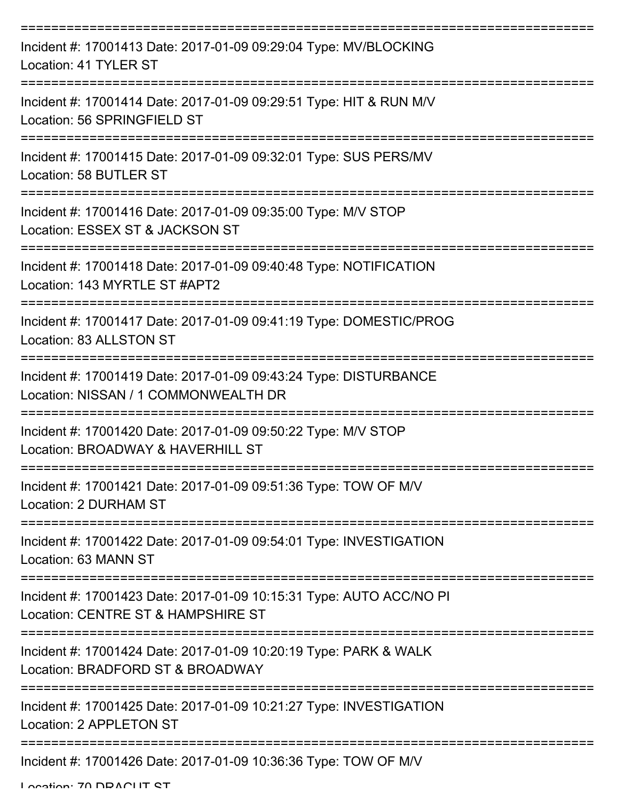| Incident #: 17001413 Date: 2017-01-09 09:29:04 Type: MV/BLOCKING<br>Location: 41 TYLER ST                 |
|-----------------------------------------------------------------------------------------------------------|
| Incident #: 17001414 Date: 2017-01-09 09:29:51 Type: HIT & RUN M/V<br>Location: 56 SPRINGFIELD ST         |
| Incident #: 17001415 Date: 2017-01-09 09:32:01 Type: SUS PERS/MV<br>Location: 58 BUTLER ST                |
| Incident #: 17001416 Date: 2017-01-09 09:35:00 Type: M/V STOP<br>Location: ESSEX ST & JACKSON ST          |
| Incident #: 17001418 Date: 2017-01-09 09:40:48 Type: NOTIFICATION<br>Location: 143 MYRTLE ST #APT2        |
| Incident #: 17001417 Date: 2017-01-09 09:41:19 Type: DOMESTIC/PROG<br>Location: 83 ALLSTON ST             |
| Incident #: 17001419 Date: 2017-01-09 09:43:24 Type: DISTURBANCE<br>Location: NISSAN / 1 COMMONWEALTH DR  |
| Incident #: 17001420 Date: 2017-01-09 09:50:22 Type: M/V STOP<br>Location: BROADWAY & HAVERHILL ST        |
| Incident #: 17001421 Date: 2017-01-09 09:51:36 Type: TOW OF M/V<br>Location: 2 DURHAM ST                  |
| Incident #: 17001422 Date: 2017-01-09 09:54:01 Type: INVESTIGATION<br>Location: 63 MANN ST                |
| Incident #: 17001423 Date: 2017-01-09 10:15:31 Type: AUTO ACC/NO PI<br>Location: CENTRE ST & HAMPSHIRE ST |
| Incident #: 17001424 Date: 2017-01-09 10:20:19 Type: PARK & WALK<br>Location: BRADFORD ST & BROADWAY      |
| Incident #: 17001425 Date: 2017-01-09 10:21:27 Type: INVESTIGATION<br>Location: 2 APPLETON ST             |
| Incident #: 17001426 Date: 2017-01-09 10:36:36 Type: TOW OF M/V                                           |

Location: 70 DDACUT ST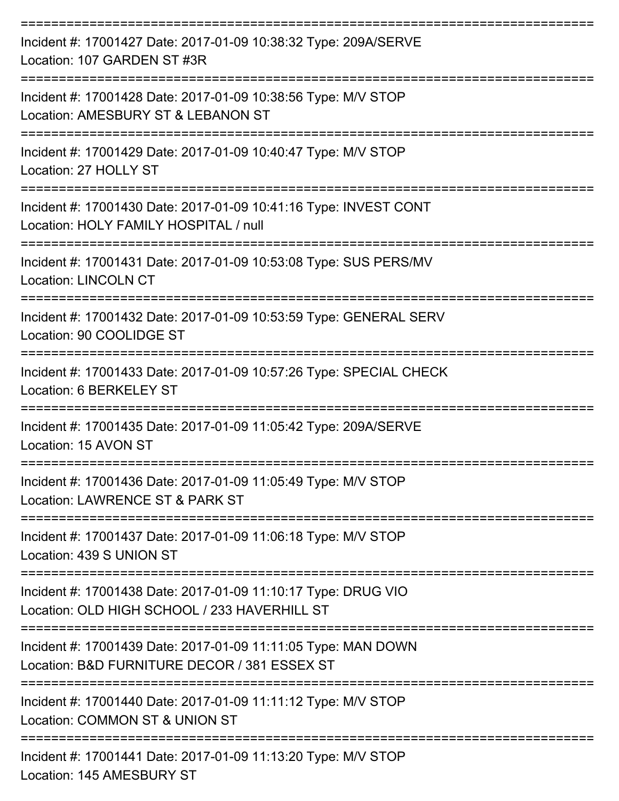| Incident #: 17001427 Date: 2017-01-09 10:38:32 Type: 209A/SERVE<br>Location: 107 GARDEN ST #3R                |
|---------------------------------------------------------------------------------------------------------------|
| Incident #: 17001428 Date: 2017-01-09 10:38:56 Type: M/V STOP<br>Location: AMESBURY ST & LEBANON ST           |
| Incident #: 17001429 Date: 2017-01-09 10:40:47 Type: M/V STOP<br>Location: 27 HOLLY ST                        |
| Incident #: 17001430 Date: 2017-01-09 10:41:16 Type: INVEST CONT<br>Location: HOLY FAMILY HOSPITAL / null     |
| Incident #: 17001431 Date: 2017-01-09 10:53:08 Type: SUS PERS/MV<br><b>Location: LINCOLN CT</b>               |
| Incident #: 17001432 Date: 2017-01-09 10:53:59 Type: GENERAL SERV<br>Location: 90 COOLIDGE ST                 |
| Incident #: 17001433 Date: 2017-01-09 10:57:26 Type: SPECIAL CHECK<br>Location: 6 BERKELEY ST                 |
| Incident #: 17001435 Date: 2017-01-09 11:05:42 Type: 209A/SERVE<br>Location: 15 AVON ST                       |
| Incident #: 17001436 Date: 2017-01-09 11:05:49 Type: M/V STOP<br>Location: LAWRENCE ST & PARK ST              |
| Incident #: 17001437 Date: 2017-01-09 11:06:18 Type: M/V STOP<br>Location: 439 S UNION ST                     |
| Incident #: 17001438 Date: 2017-01-09 11:10:17 Type: DRUG VIO<br>Location: OLD HIGH SCHOOL / 233 HAVERHILL ST |
| Incident #: 17001439 Date: 2017-01-09 11:11:05 Type: MAN DOWN<br>Location: B&D FURNITURE DECOR / 381 ESSEX ST |
| Incident #: 17001440 Date: 2017-01-09 11:11:12 Type: M/V STOP<br>Location: COMMON ST & UNION ST               |
| Incident #: 17001441 Date: 2017-01-09 11:13:20 Type: M/V STOP                                                 |

Location: 145 AMESBURY ST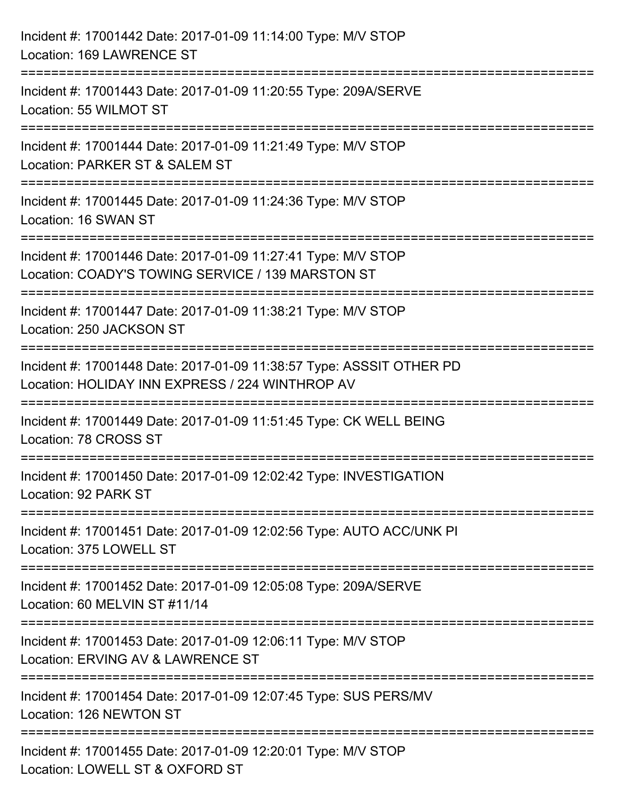| Incident #: 17001442 Date: 2017-01-09 11:14:00 Type: M/V STOP<br>Location: 169 LAWRENCE ST                              |
|-------------------------------------------------------------------------------------------------------------------------|
| Incident #: 17001443 Date: 2017-01-09 11:20:55 Type: 209A/SERVE<br>Location: 55 WILMOT ST                               |
| Incident #: 17001444 Date: 2017-01-09 11:21:49 Type: M/V STOP<br>Location: PARKER ST & SALEM ST                         |
| Incident #: 17001445 Date: 2017-01-09 11:24:36 Type: M/V STOP<br>Location: 16 SWAN ST                                   |
| Incident #: 17001446 Date: 2017-01-09 11:27:41 Type: M/V STOP<br>Location: COADY'S TOWING SERVICE / 139 MARSTON ST      |
| Incident #: 17001447 Date: 2017-01-09 11:38:21 Type: M/V STOP<br>Location: 250 JACKSON ST                               |
| Incident #: 17001448 Date: 2017-01-09 11:38:57 Type: ASSSIT OTHER PD<br>Location: HOLIDAY INN EXPRESS / 224 WINTHROP AV |
| Incident #: 17001449 Date: 2017-01-09 11:51:45 Type: CK WELL BEING<br>Location: 78 CROSS ST                             |
| Incident #: 17001450 Date: 2017-01-09 12:02:42 Type: INVESTIGATION<br>Location: 92 PARK ST                              |
| Incident #: 17001451 Date: 2017-01-09 12:02:56 Type: AUTO ACC/UNK PI<br>Location: 375 LOWELL ST                         |
| Incident #: 17001452 Date: 2017-01-09 12:05:08 Type: 209A/SERVE<br>Location: 60 MELVIN ST #11/14                        |
| Incident #: 17001453 Date: 2017-01-09 12:06:11 Type: M/V STOP<br>Location: ERVING AV & LAWRENCE ST                      |
| Incident #: 17001454 Date: 2017-01-09 12:07:45 Type: SUS PERS/MV<br>Location: 126 NEWTON ST                             |
| Incident #: 17001455 Date: 2017-01-09 12:20:01 Type: M/V STOP<br>Location: LOWELL ST & OXFORD ST                        |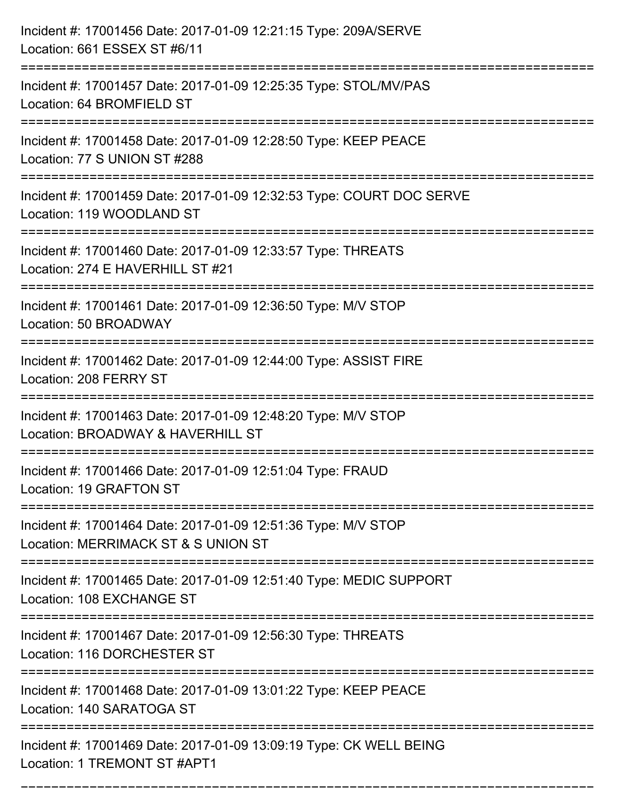| Incident #: 17001456 Date: 2017-01-09 12:21:15 Type: 209A/SERVE<br>Location: 661 ESSEX ST #6/11                                       |
|---------------------------------------------------------------------------------------------------------------------------------------|
| .===================================<br>Incident #: 17001457 Date: 2017-01-09 12:25:35 Type: STOL/MV/PAS<br>Location: 64 BROMFIELD ST |
| Incident #: 17001458 Date: 2017-01-09 12:28:50 Type: KEEP PEACE<br>Location: 77 S UNION ST #288                                       |
| Incident #: 17001459 Date: 2017-01-09 12:32:53 Type: COURT DOC SERVE<br>Location: 119 WOODLAND ST                                     |
| Incident #: 17001460 Date: 2017-01-09 12:33:57 Type: THREATS<br>Location: 274 E HAVERHILL ST #21                                      |
| Incident #: 17001461 Date: 2017-01-09 12:36:50 Type: M/V STOP<br>Location: 50 BROADWAY                                                |
| :==================================<br>Incident #: 17001462 Date: 2017-01-09 12:44:00 Type: ASSIST FIRE<br>Location: 208 FERRY ST     |
| Incident #: 17001463 Date: 2017-01-09 12:48:20 Type: M/V STOP<br>Location: BROADWAY & HAVERHILL ST                                    |
| Incident #: 17001466 Date: 2017-01-09 12:51:04 Type: FRAUD<br>Location: 19 GRAFTON ST                                                 |
| Incident #: 17001464 Date: 2017-01-09 12:51:36 Type: M/V STOP<br>Location: MERRIMACK ST & S UNION ST                                  |
| Incident #: 17001465 Date: 2017-01-09 12:51:40 Type: MEDIC SUPPORT<br>Location: 108 EXCHANGE ST                                       |
| Incident #: 17001467 Date: 2017-01-09 12:56:30 Type: THREATS<br>Location: 116 DORCHESTER ST                                           |
| Incident #: 17001468 Date: 2017-01-09 13:01:22 Type: KEEP PEACE<br>Location: 140 SARATOGA ST                                          |
| Incident #: 17001469 Date: 2017-01-09 13:09:19 Type: CK WELL BEING<br>Location: 1 TREMONT ST #APT1                                    |

===========================================================================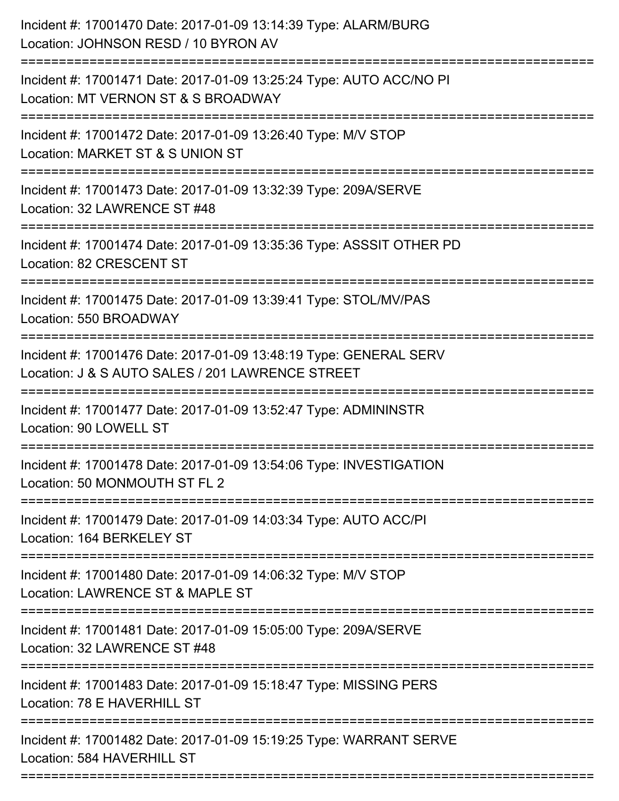| Incident #: 17001472 Date: 2017-01-09 13:26:40 Type: M/V STOP<br>Location: 550 BROADWAY<br>Incident #: 17001476 Date: 2017-01-09 13:48:19 Type: GENERAL SERV<br>Location: J & S AUTO SALES / 201 LAWRENCE STREET<br>Location: 90 LOWELL ST<br>Incident #: 17001478 Date: 2017-01-09 13:54:06 Type: INVESTIGATION<br>Incident #: 17001479 Date: 2017-01-09 14:03:34 Type: AUTO ACC/PI<br>Incident #: 17001480 Date: 2017-01-09 14:06:32 Type: M/V STOP<br>Location: LAWRENCE ST & MAPLE ST<br>Incident #: 17001481 Date: 2017-01-09 15:05:00 Type: 209A/SERVE<br>Incident #: 17001483 Date: 2017-01-09 15:18:47 Type: MISSING PERS<br>Location: 78 E HAVERHILL ST | Incident #: 17001470 Date: 2017-01-09 13:14:39 Type: ALARM/BURG<br>Location: JOHNSON RESD / 10 BYRON AV    |
|------------------------------------------------------------------------------------------------------------------------------------------------------------------------------------------------------------------------------------------------------------------------------------------------------------------------------------------------------------------------------------------------------------------------------------------------------------------------------------------------------------------------------------------------------------------------------------------------------------------------------------------------------------------|------------------------------------------------------------------------------------------------------------|
|                                                                                                                                                                                                                                                                                                                                                                                                                                                                                                                                                                                                                                                                  | Incident #: 17001471 Date: 2017-01-09 13:25:24 Type: AUTO ACC/NO PI<br>Location: MT VERNON ST & S BROADWAY |
|                                                                                                                                                                                                                                                                                                                                                                                                                                                                                                                                                                                                                                                                  | Location: MARKET ST & S UNION ST                                                                           |
|                                                                                                                                                                                                                                                                                                                                                                                                                                                                                                                                                                                                                                                                  | Incident #: 17001473 Date: 2017-01-09 13:32:39 Type: 209A/SERVE<br>Location: 32 LAWRENCE ST #48            |
|                                                                                                                                                                                                                                                                                                                                                                                                                                                                                                                                                                                                                                                                  | Incident #: 17001474 Date: 2017-01-09 13:35:36 Type: ASSSIT OTHER PD<br>Location: 82 CRESCENT ST           |
|                                                                                                                                                                                                                                                                                                                                                                                                                                                                                                                                                                                                                                                                  | Incident #: 17001475 Date: 2017-01-09 13:39:41 Type: STOL/MV/PAS                                           |
|                                                                                                                                                                                                                                                                                                                                                                                                                                                                                                                                                                                                                                                                  |                                                                                                            |
|                                                                                                                                                                                                                                                                                                                                                                                                                                                                                                                                                                                                                                                                  | Incident #: 17001477 Date: 2017-01-09 13:52:47 Type: ADMININSTR                                            |
|                                                                                                                                                                                                                                                                                                                                                                                                                                                                                                                                                                                                                                                                  | Location: 50 MONMOUTH ST FL 2                                                                              |
|                                                                                                                                                                                                                                                                                                                                                                                                                                                                                                                                                                                                                                                                  | Location: 164 BERKELEY ST                                                                                  |
|                                                                                                                                                                                                                                                                                                                                                                                                                                                                                                                                                                                                                                                                  |                                                                                                            |
|                                                                                                                                                                                                                                                                                                                                                                                                                                                                                                                                                                                                                                                                  | Location: 32 LAWRENCE ST #48                                                                               |
|                                                                                                                                                                                                                                                                                                                                                                                                                                                                                                                                                                                                                                                                  |                                                                                                            |
|                                                                                                                                                                                                                                                                                                                                                                                                                                                                                                                                                                                                                                                                  | Incident #: 17001482 Date: 2017-01-09 15:19:25 Type: WARRANT SERVE<br>Location: 584 HAVERHILL ST           |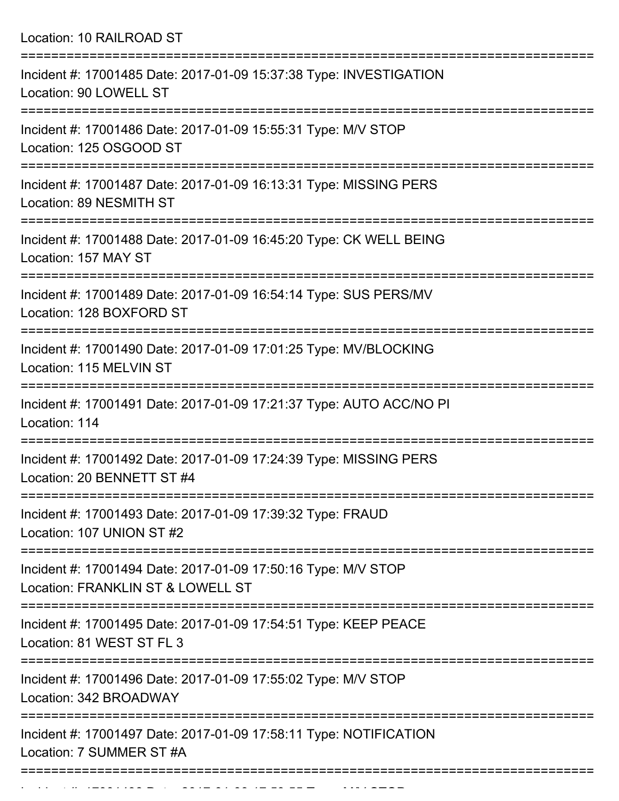Location: 10 RAILROAD ST =========================================================================== Incident #: 17001485 Date: 2017-01-09 15:37:38 Type: INVESTIGATION Location: 90 LOWELL ST =========================================================================== Incident #: 17001486 Date: 2017-01-09 15:55:31 Type: M/V STOP Location: 125 OSGOOD ST =========================================================================== Incident #: 17001487 Date: 2017-01-09 16:13:31 Type: MISSING PERS Location: 89 NESMITH ST =========================================================================== Incident #: 17001488 Date: 2017-01-09 16:45:20 Type: CK WELL BEING Location: 157 MAY ST =========================================================================== Incident #: 17001489 Date: 2017-01-09 16:54:14 Type: SUS PERS/MV Location: 128 BOXFORD ST =========================================================================== Incident #: 17001490 Date: 2017-01-09 17:01:25 Type: MV/BLOCKING Location: 115 MELVIN ST =========================================================================== Incident #: 17001491 Date: 2017-01-09 17:21:37 Type: AUTO ACC/NO PI Location: 114 =========================================================================== Incident #: 17001492 Date: 2017-01-09 17:24:39 Type: MISSING PERS Location: 20 BENNETT ST #4 =========================================================================== Incident #: 17001493 Date: 2017-01-09 17:39:32 Type: FRAUD Location: 107 UNION ST #2 =========================================================================== Incident #: 17001494 Date: 2017-01-09 17:50:16 Type: M/V STOP Location: FRANKLIN ST & LOWELL ST =========================================================================== Incident #: 17001495 Date: 2017-01-09 17:54:51 Type: KEEP PEACE Location: 81 WEST ST FL 3 =========================================================================== Incident #: 17001496 Date: 2017-01-09 17:55:02 Type: M/V STOP Location: 342 BROADWAY =========================================================================== Incident #: 17001497 Date: 2017-01-09 17:58:11 Type: NOTIFICATION Location: 7 SUMMER ST #A ===========================================================================

Incident #: 17001498 Date: 2017 01 09 17:59:57 Type: M/V STOP: 2017 01:59:55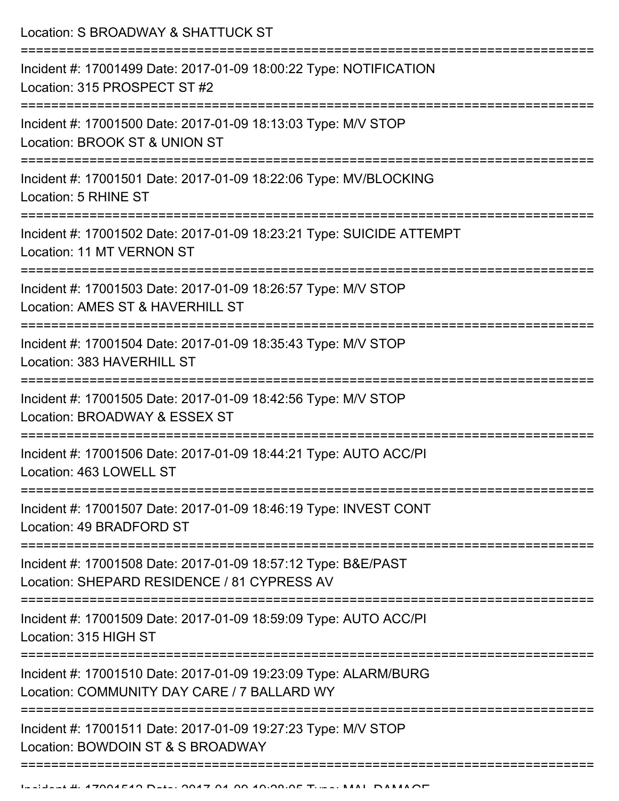Location: S BROADWAY & SHATTUCK ST

| Incident #: 17001499 Date: 2017-01-09 18:00:22 Type: NOTIFICATION<br>Location: 315 PROSPECT ST #2              |
|----------------------------------------------------------------------------------------------------------------|
| Incident #: 17001500 Date: 2017-01-09 18:13:03 Type: M/V STOP<br>Location: BROOK ST & UNION ST                 |
| Incident #: 17001501 Date: 2017-01-09 18:22:06 Type: MV/BLOCKING<br>Location: 5 RHINE ST                       |
| Incident #: 17001502 Date: 2017-01-09 18:23:21 Type: SUICIDE ATTEMPT<br>Location: 11 MT VERNON ST              |
| Incident #: 17001503 Date: 2017-01-09 18:26:57 Type: M/V STOP<br>Location: AMES ST & HAVERHILL ST              |
| Incident #: 17001504 Date: 2017-01-09 18:35:43 Type: M/V STOP<br>Location: 383 HAVERHILL ST                    |
| Incident #: 17001505 Date: 2017-01-09 18:42:56 Type: M/V STOP<br>Location: BROADWAY & ESSEX ST                 |
| Incident #: 17001506 Date: 2017-01-09 18:44:21 Type: AUTO ACC/PI<br>Location: 463 LOWELL ST                    |
| Incident #: 17001507 Date: 2017-01-09 18:46:19 Type: INVEST CONT<br>Location: 49 BRADFORD ST                   |
| Incident #: 17001508 Date: 2017-01-09 18:57:12 Type: B&E/PAST<br>Location: SHEPARD RESIDENCE / 81 CYPRESS AV   |
| Incident #: 17001509 Date: 2017-01-09 18:59:09 Type: AUTO ACC/PI<br>Location: 315 HIGH ST                      |
| Incident #: 17001510 Date: 2017-01-09 19:23:09 Type: ALARM/BURG<br>Location: COMMUNITY DAY CARE / 7 BALLARD WY |
| Incident #: 17001511 Date: 2017-01-09 19:27:23 Type: M/V STOP<br>Location: BOWDOIN ST & S BROADWAY             |
|                                                                                                                |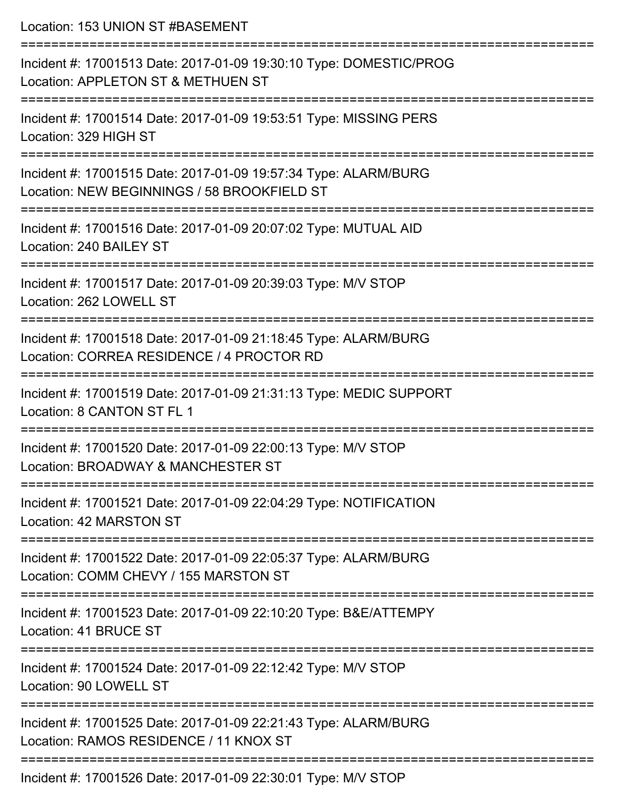| Location: 153 UNION ST #BASEMENT                                                                               |
|----------------------------------------------------------------------------------------------------------------|
| Incident #: 17001513 Date: 2017-01-09 19:30:10 Type: DOMESTIC/PROG<br>Location: APPLETON ST & METHUEN ST       |
| Incident #: 17001514 Date: 2017-01-09 19:53:51 Type: MISSING PERS<br>Location: 329 HIGH ST                     |
| Incident #: 17001515 Date: 2017-01-09 19:57:34 Type: ALARM/BURG<br>Location: NEW BEGINNINGS / 58 BROOKFIELD ST |
| Incident #: 17001516 Date: 2017-01-09 20:07:02 Type: MUTUAL AID<br>Location: 240 BAILEY ST                     |
| Incident #: 17001517 Date: 2017-01-09 20:39:03 Type: M/V STOP<br>Location: 262 LOWELL ST                       |
| Incident #: 17001518 Date: 2017-01-09 21:18:45 Type: ALARM/BURG<br>Location: CORREA RESIDENCE / 4 PROCTOR RD   |
| Incident #: 17001519 Date: 2017-01-09 21:31:13 Type: MEDIC SUPPORT<br>Location: 8 CANTON ST FL 1               |
| Incident #: 17001520 Date: 2017-01-09 22:00:13 Type: M/V STOP<br>Location: BROADWAY & MANCHESTER ST            |
| Incident #: 17001521 Date: 2017-01-09 22:04:29 Type: NOTIFICATION<br>Location: 42 MARSTON ST                   |
| Incident #: 17001522 Date: 2017-01-09 22:05:37 Type: ALARM/BURG<br>Location: COMM CHEVY / 155 MARSTON ST       |
| Incident #: 17001523 Date: 2017-01-09 22:10:20 Type: B&E/ATTEMPY<br>Location: 41 BRUCE ST                      |
| Incident #: 17001524 Date: 2017-01-09 22:12:42 Type: M/V STOP<br>Location: 90 LOWELL ST                        |
| Incident #: 17001525 Date: 2017-01-09 22:21:43 Type: ALARM/BURG<br>Location: RAMOS RESIDENCE / 11 KNOX ST      |
| 0.017.01.00.00                                                                                                 |

Incident #: 17001526 Date: 2017-01-09 22:30:01 Type: M/V STOP